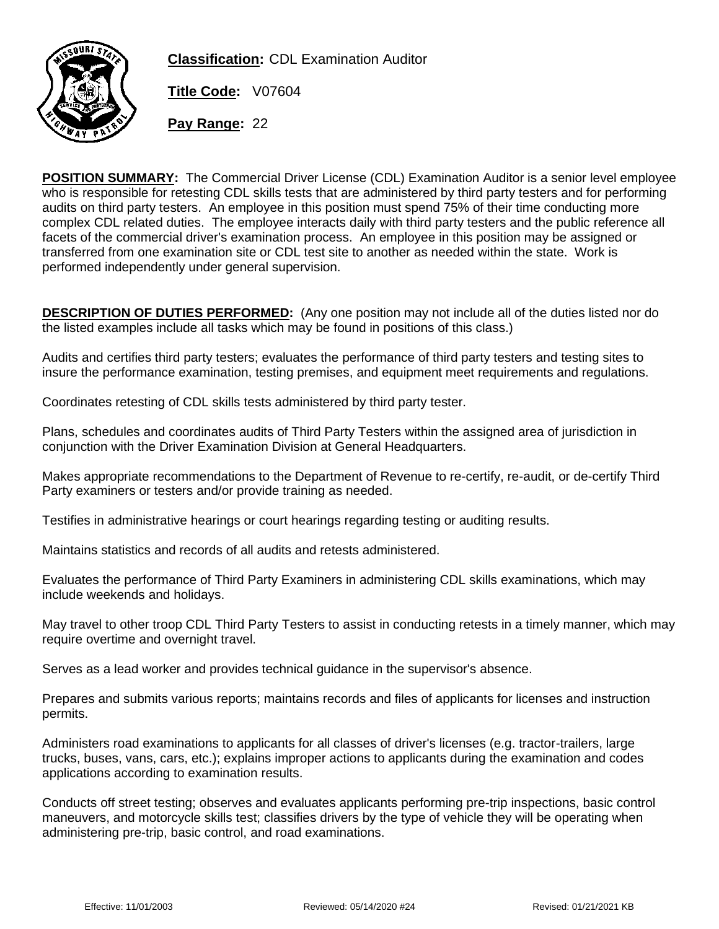

**Classification:** CDL Examination Auditor

**Title Code:** V07604

**Pay Range:** 22

**POSITION SUMMARY:** The Commercial Driver License (CDL) Examination Auditor is a senior level employee who is responsible for retesting CDL skills tests that are administered by third party testers and for performing audits on third party testers. An employee in this position must spend 75% of their time conducting more complex CDL related duties. The employee interacts daily with third party testers and the public reference all facets of the commercial driver's examination process. An employee in this position may be assigned or transferred from one examination site or CDL test site to another as needed within the state. Work is performed independently under general supervision.

**DESCRIPTION OF DUTIES PERFORMED:** (Any one position may not include all of the duties listed nor do the listed examples include all tasks which may be found in positions of this class.)

Audits and certifies third party testers; evaluates the performance of third party testers and testing sites to insure the performance examination, testing premises, and equipment meet requirements and regulations.

Coordinates retesting of CDL skills tests administered by third party tester.

Plans, schedules and coordinates audits of Third Party Testers within the assigned area of jurisdiction in conjunction with the Driver Examination Division at General Headquarters.

Makes appropriate recommendations to the Department of Revenue to re-certify, re-audit, or de-certify Third Party examiners or testers and/or provide training as needed.

Testifies in administrative hearings or court hearings regarding testing or auditing results.

Maintains statistics and records of all audits and retests administered.

Evaluates the performance of Third Party Examiners in administering CDL skills examinations, which may include weekends and holidays.

May travel to other troop CDL Third Party Testers to assist in conducting retests in a timely manner, which may require overtime and overnight travel.

Serves as a lead worker and provides technical guidance in the supervisor's absence.

Prepares and submits various reports; maintains records and files of applicants for licenses and instruction permits.

Administers road examinations to applicants for all classes of driver's licenses (e.g. tractor-trailers, large trucks, buses, vans, cars, etc.); explains improper actions to applicants during the examination and codes applications according to examination results.

Conducts off street testing; observes and evaluates applicants performing pre-trip inspections, basic control maneuvers, and motorcycle skills test; classifies drivers by the type of vehicle they will be operating when administering pre-trip, basic control, and road examinations.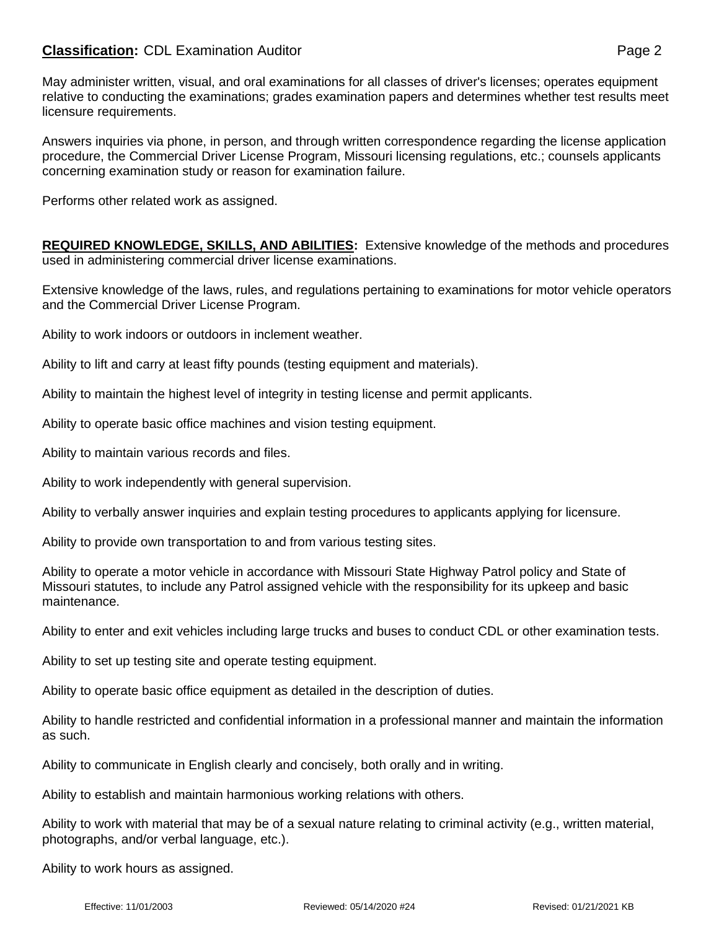## **Classification:** CDL Examination Auditor **Page 2** Page 2

May administer written, visual, and oral examinations for all classes of driver's licenses; operates equipment relative to conducting the examinations; grades examination papers and determines whether test results meet licensure requirements.

Answers inquiries via phone, in person, and through written correspondence regarding the license application procedure, the Commercial Driver License Program, Missouri licensing regulations, etc.; counsels applicants concerning examination study or reason for examination failure.

Performs other related work as assigned.

**REQUIRED KNOWLEDGE, SKILLS, AND ABILITIES:** Extensive knowledge of the methods and procedures used in administering commercial driver license examinations.

Extensive knowledge of the laws, rules, and regulations pertaining to examinations for motor vehicle operators and the Commercial Driver License Program.

Ability to work indoors or outdoors in inclement weather.

Ability to lift and carry at least fifty pounds (testing equipment and materials).

Ability to maintain the highest level of integrity in testing license and permit applicants.

Ability to operate basic office machines and vision testing equipment.

Ability to maintain various records and files.

Ability to work independently with general supervision.

Ability to verbally answer inquiries and explain testing procedures to applicants applying for licensure.

Ability to provide own transportation to and from various testing sites.

Ability to operate a motor vehicle in accordance with Missouri State Highway Patrol policy and State of Missouri statutes, to include any Patrol assigned vehicle with the responsibility for its upkeep and basic maintenance.

Ability to enter and exit vehicles including large trucks and buses to conduct CDL or other examination tests.

Ability to set up testing site and operate testing equipment.

Ability to operate basic office equipment as detailed in the description of duties.

Ability to handle restricted and confidential information in a professional manner and maintain the information as such.

Ability to communicate in English clearly and concisely, both orally and in writing.

Ability to establish and maintain harmonious working relations with others.

Ability to work with material that may be of a sexual nature relating to criminal activity (e.g., written material, photographs, and/or verbal language, etc.).

Ability to work hours as assigned.